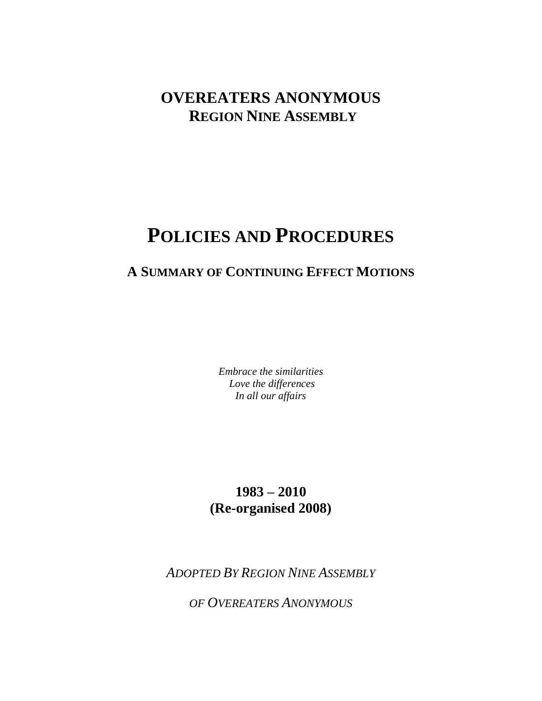## **OVEREATERS ANONYMOUS REGION NINE ASSEMBLY**

# **POLICIES AND PROCEDURES**

## **A SUMMARY OF CONTINUING EFFECT MOTIONS**

*Embrace the similarities Love the differences In all our affairs* 

## **1983 – 2010 (Re-organised 2008)**

*ADOPTED BY REGION NINE ASSEMBLY* 

*OF OVEREATERS ANONYMOUS*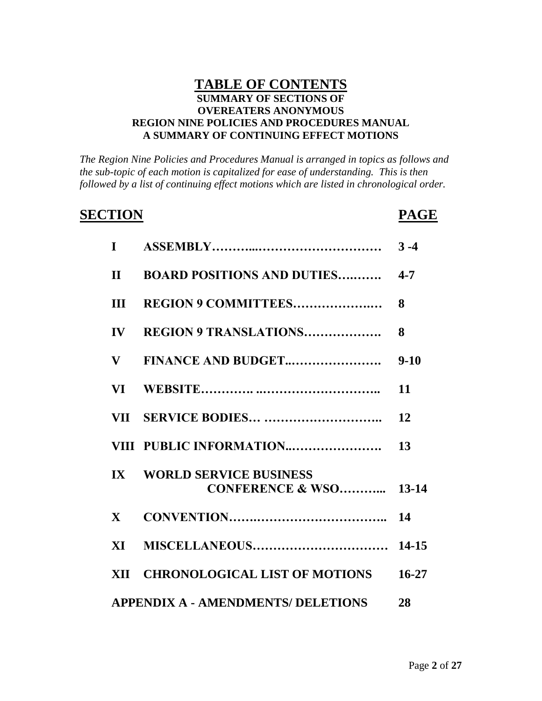### **TABLE OF CONTENTS SUMMARY OF SECTIONS OF OVEREATERS ANONYMOUS REGION NINE POLICIES AND PROCEDURES MANUAL A SUMMARY OF CONTINUING EFFECT MOTIONS**

*The Region Nine Policies and Procedures Manual is arranged in topics as follows and the sub-topic of each motion is capitalized for ease of understanding. This is then followed by a list of continuing effect motions which are listed in chronological order.*

# **SECTION PAGE**

|               | II BOARD POSITIONS AND DUTIES 4-7                              |           |
|---------------|----------------------------------------------------------------|-----------|
|               |                                                                | 8         |
| $\mathbf{IV}$ | <b>REGION 9 TRANSLATIONS</b>                                   | 8         |
| $\mathbf{V}$  | FINANCE AND BUDGET                                             | $9 - 10$  |
| <b>VI</b>     |                                                                | 11        |
|               |                                                                | 12        |
|               |                                                                | 13        |
|               | IX WORLD SERVICE BUSINESS<br><b>CONFERENCE &amp; WSO 13-14</b> |           |
| $\mathbf{X}$  |                                                                | 14        |
|               |                                                                | 14-15     |
|               | XII CHRONOLOGICAL LIST OF MOTIONS                              | $16 - 27$ |
|               | APPENDIX A - AMENDMENTS/ DELETIONS                             | 28        |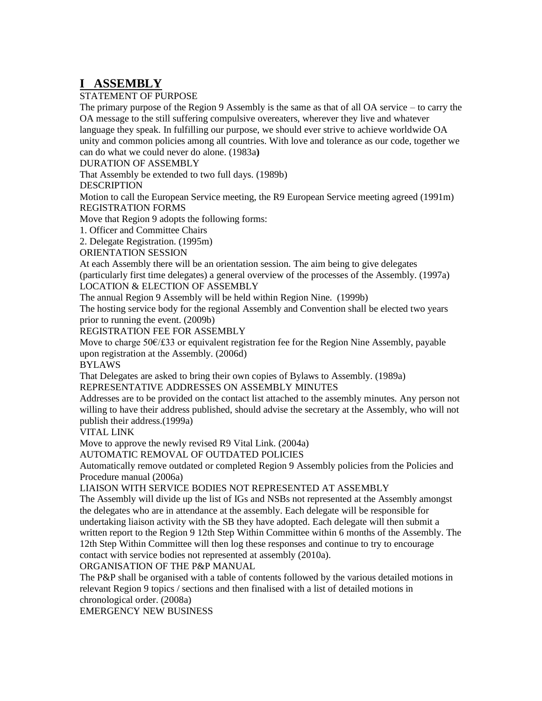## **I ASSEMBLY**

#### STATEMENT OF PURPOSE

The primary purpose of the Region 9 Assembly is the same as that of all OA service – to carry the OA message to the still suffering compulsive overeaters, wherever they live and whatever language they speak. In fulfilling our purpose, we should ever strive to achieve worldwide OA unity and common policies among all countries. With love and tolerance as our code, together we can do what we could never do alone. (1983a**)**

DURATION OF ASSEMBLY

That Assembly be extended to two full days. (1989b)

#### **DESCRIPTION**

Motion to call the European Service meeting, the R9 European Service meeting agreed (1991m) REGISTRATION FORMS

Move that Region 9 adopts the following forms:

1. Officer and Committee Chairs

2. Delegate Registration. (1995m)

ORIENTATION SESSION

At each Assembly there will be an orientation session. The aim being to give delegates

(particularly first time delegates) a general overview of the processes of the Assembly. (1997a) LOCATION & ELECTION OF ASSEMBLY

The annual Region 9 Assembly will be held within Region Nine. (1999b)

The hosting service body for the regional Assembly and Convention shall be elected two years prior to running the event. (2009b)

REGISTRATION FEE FOR ASSEMBLY

Move to charge 50€/£33 or equivalent registration fee for the Region Nine Assembly, payable upon registration at the Assembly. (2006d)

#### **BYLAWS**

That Delegates are asked to bring their own copies of Bylaws to Assembly. (1989a) REPRESENTATIVE ADDRESSES ON ASSEMBLY MINUTES

Addresses are to be provided on the contact list attached to the assembly minutes. Any person not willing to have their address published, should advise the secretary at the Assembly, who will not publish their address.(1999a)

VITAL LINK

Move to approve the newly revised R9 Vital Link. (2004a)

AUTOMATIC REMOVAL OF OUTDATED POLICIES

Automatically remove outdated or completed Region 9 Assembly policies from the Policies and Procedure manual (2006a)

#### LIAISON WITH SERVICE BODIES NOT REPRESENTED AT ASSEMBLY

The Assembly will divide up the list of IGs and NSBs not represented at the Assembly amongst the delegates who are in attendance at the assembly. Each delegate will be responsible for undertaking liaison activity with the SB they have adopted. Each delegate will then submit a written report to the Region 9 12th Step Within Committee within 6 months of the Assembly. The 12th Step Within Committee will then log these responses and continue to try to encourage contact with service bodies not represented at assembly (2010a).

ORGANISATION OF THE P&P MANUAL

The P&P shall be organised with a table of contents followed by the various detailed motions in relevant Region 9 topics / sections and then finalised with a list of detailed motions in chronological order. (2008a)

EMERGENCY NEW BUSINESS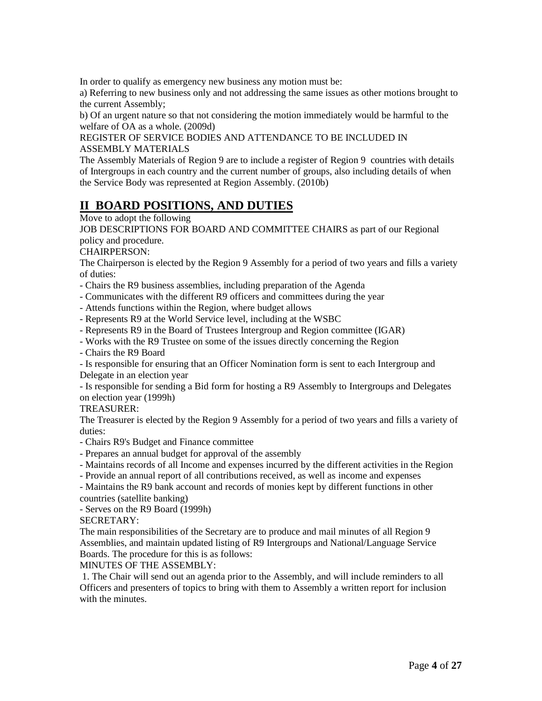In order to qualify as emergency new business any motion must be:

a) Referring to new business only and not addressing the same issues as other motions brought to the current Assembly;

b) Of an urgent nature so that not considering the motion immediately would be harmful to the welfare of OA as a whole. (2009d)

REGISTER OF SERVICE BODIES AND ATTENDANCE TO BE INCLUDED IN ASSEMBLY MATERIALS

The Assembly Materials of Region 9 are to include a register of Region 9 countries with details of Intergroups in each country and the current number of groups, also including details of when the Service Body was represented at Region Assembly. (2010b)

## **II BOARD POSITIONS, AND DUTIES**

Move to adopt the following

JOB DESCRIPTIONS FOR BOARD AND COMMITTEE CHAIRS as part of our Regional policy and procedure.

CHAIRPERSON:

The Chairperson is elected by the Region 9 Assembly for a period of two years and fills a variety of duties:

- Chairs the R9 business assemblies, including preparation of the Agenda

- Communicates with the different R9 officers and committees during the year

- Attends functions within the Region, where budget allows

- Represents R9 at the World Service level, including at the WSBC

- Represents R9 in the Board of Trustees Intergroup and Region committee (IGAR)

- Works with the R9 Trustee on some of the issues directly concerning the Region

- Chairs the R9 Board

- Is responsible for ensuring that an Officer Nomination form is sent to each Intergroup and Delegate in an election year

- Is responsible for sending a Bid form for hosting a R9 Assembly to Intergroups and Delegates on election year (1999h)

#### TREASURER:

The Treasurer is elected by the Region 9 Assembly for a period of two years and fills a variety of duties:

- Chairs R9's Budget and Finance committee

- Prepares an annual budget for approval of the assembly

- Maintains records of all Income and expenses incurred by the different activities in the Region

- Provide an annual report of all contributions received, as well as income and expenses

- Maintains the R9 bank account and records of monies kept by different functions in other countries (satellite banking)

- Serves on the R9 Board (1999h)

#### SECRETARY:

The main responsibilities of the Secretary are to produce and mail minutes of all Region 9 Assemblies, and maintain updated listing of R9 Intergroups and National/Language Service Boards. The procedure for this is as follows:

MINUTES OF THE ASSEMBLY:

1. The Chair will send out an agenda prior to the Assembly, and will include reminders to all Officers and presenters of topics to bring with them to Assembly a written report for inclusion with the minutes.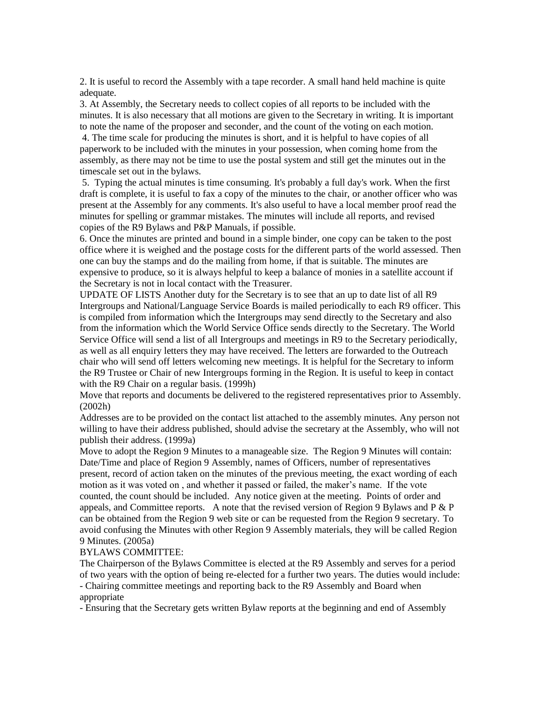2. It is useful to record the Assembly with a tape recorder. A small hand held machine is quite adequate.

3. At Assembly, the Secretary needs to collect copies of all reports to be included with the minutes. It is also necessary that all motions are given to the Secretary in writing. It is important to note the name of the proposer and seconder, and the count of the voting on each motion.

4. The time scale for producing the minutes is short, and it is helpful to have copies of all paperwork to be included with the minutes in your possession, when coming home from the assembly, as there may not be time to use the postal system and still get the minutes out in the timescale set out in the bylaws.

5. Typing the actual minutes is time consuming. It's probably a full day's work. When the first draft is complete, it is useful to fax a copy of the minutes to the chair, or another officer who was present at the Assembly for any comments. It's also useful to have a local member proof read the minutes for spelling or grammar mistakes. The minutes will include all reports, and revised copies of the R9 Bylaws and P&P Manuals, if possible.

6. Once the minutes are printed and bound in a simple binder, one copy can be taken to the post office where it is weighed and the postage costs for the different parts of the world assessed. Then one can buy the stamps and do the mailing from home, if that is suitable. The minutes are expensive to produce, so it is always helpful to keep a balance of monies in a satellite account if the Secretary is not in local contact with the Treasurer.

UPDATE OF LISTS Another duty for the Secretary is to see that an up to date list of all R9 Intergroups and National/Language Service Boards is mailed periodically to each R9 officer. This is compiled from information which the Intergroups may send directly to the Secretary and also from the information which the World Service Office sends directly to the Secretary. The World Service Office will send a list of all Intergroups and meetings in R9 to the Secretary periodically, as well as all enquiry letters they may have received. The letters are forwarded to the Outreach chair who will send off letters welcoming new meetings. It is helpful for the Secretary to inform the R9 Trustee or Chair of new Intergroups forming in the Region. It is useful to keep in contact with the R9 Chair on a regular basis. (1999h)

Move that reports and documents be delivered to the registered representatives prior to Assembly. (2002h)

Addresses are to be provided on the contact list attached to the assembly minutes. Any person not willing to have their address published, should advise the secretary at the Assembly, who will not publish their address. (1999a)

Move to adopt the Region 9 Minutes to a manageable size. The Region 9 Minutes will contain: Date/Time and place of Region 9 Assembly, names of Officers, number of representatives present, record of action taken on the minutes of the previous meeting, the exact wording of each motion as it was voted on , and whether it passed or failed, the maker"s name. If the vote counted, the count should be included. Any notice given at the meeting. Points of order and appeals, and Committee reports. A note that the revised version of Region 9 Bylaws and  $P \& P$ can be obtained from the Region 9 web site or can be requested from the Region 9 secretary. To avoid confusing the Minutes with other Region 9 Assembly materials, they will be called Region 9 Minutes. (2005a)

#### BYLAWS COMMITTEE:

The Chairperson of the Bylaws Committee is elected at the R9 Assembly and serves for a period of two years with the option of being re-elected for a further two years. The duties would include: - Chairing committee meetings and reporting back to the R9 Assembly and Board when appropriate

- Ensuring that the Secretary gets written Bylaw reports at the beginning and end of Assembly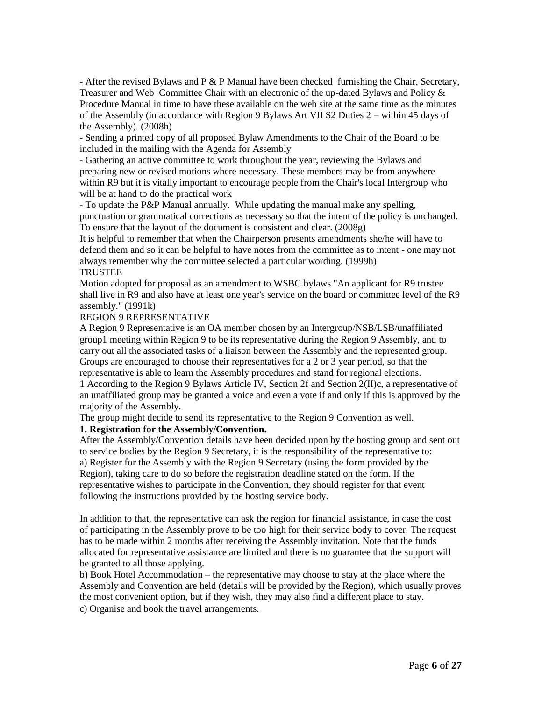- After the revised Bylaws and P & P Manual have been checked furnishing the Chair, Secretary, Treasurer and Web Committee Chair with an electronic of the up-dated Bylaws and Policy & Procedure Manual in time to have these available on the web site at the same time as the minutes of the Assembly (in accordance with Region 9 Bylaws Art VII S2 Duties 2 – within 45 days of the Assembly). (2008h)

- Sending a printed copy of all proposed Bylaw Amendments to the Chair of the Board to be included in the mailing with the Agenda for Assembly

- Gathering an active committee to work throughout the year, reviewing the Bylaws and preparing new or revised motions where necessary. These members may be from anywhere within R9 but it is vitally important to encourage people from the Chair's local Intergroup who will be at hand to do the practical work

- To update the P&P Manual annually. While updating the manual make any spelling, punctuation or grammatical corrections as necessary so that the intent of the policy is unchanged. To ensure that the layout of the document is consistent and clear. (2008g)

It is helpful to remember that when the Chairperson presents amendments she/he will have to defend them and so it can be helpful to have notes from the committee as to intent - one may not always remember why the committee selected a particular wording. (1999h) **TRUSTEE** 

Motion adopted for proposal as an amendment to WSBC bylaws "An applicant for R9 trustee shall live in R9 and also have at least one year's service on the board or committee level of the R9 assembly." (1991k)

#### REGION 9 REPRESENTATIVE

A Region 9 Representative is an OA member chosen by an Intergroup/NSB/LSB/unaffiliated group1 meeting within Region 9 to be its representative during the Region 9 Assembly, and to carry out all the associated tasks of a liaison between the Assembly and the represented group. Groups are encouraged to choose their representatives for a 2 or 3 year period, so that the representative is able to learn the Assembly procedures and stand for regional elections.

1 According to the Region 9 Bylaws Article IV, Section 2f and Section 2(II)c, a representative of an unaffiliated group may be granted a voice and even a vote if and only if this is approved by the majority of the Assembly.

The group might decide to send its representative to the Region 9 Convention as well.

#### **1. Registration for the Assembly/Convention.**

After the Assembly/Convention details have been decided upon by the hosting group and sent out to service bodies by the Region 9 Secretary, it is the responsibility of the representative to: a) Register for the Assembly with the Region 9 Secretary (using the form provided by the Region), taking care to do so before the registration deadline stated on the form. If the representative wishes to participate in the Convention, they should register for that event following the instructions provided by the hosting service body.

In addition to that, the representative can ask the region for financial assistance, in case the cost of participating in the Assembly prove to be too high for their service body to cover. The request has to be made within 2 months after receiving the Assembly invitation. Note that the funds allocated for representative assistance are limited and there is no guarantee that the support will be granted to all those applying.

b) Book Hotel Accommodation – the representative may choose to stay at the place where the Assembly and Convention are held (details will be provided by the Region), which usually proves the most convenient option, but if they wish, they may also find a different place to stay. c) Organise and book the travel arrangements.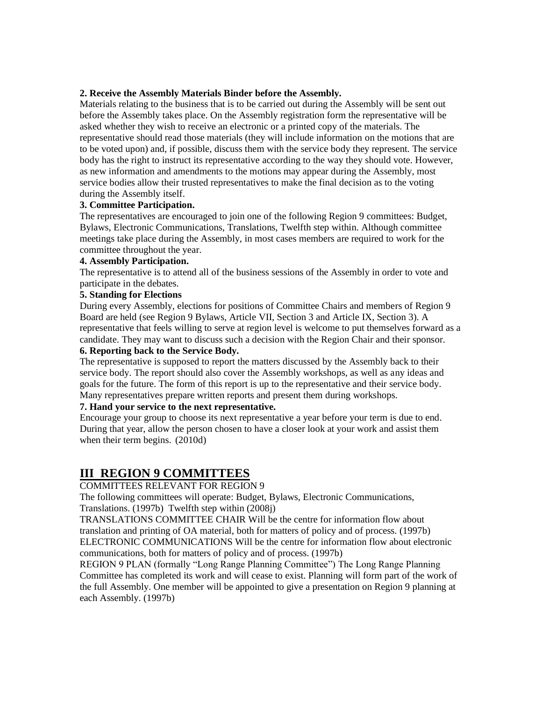#### **2. Receive the Assembly Materials Binder before the Assembly.**

Materials relating to the business that is to be carried out during the Assembly will be sent out before the Assembly takes place. On the Assembly registration form the representative will be asked whether they wish to receive an electronic or a printed copy of the materials. The representative should read those materials (they will include information on the motions that are to be voted upon) and, if possible, discuss them with the service body they represent. The service body has the right to instruct its representative according to the way they should vote. However, as new information and amendments to the motions may appear during the Assembly, most service bodies allow their trusted representatives to make the final decision as to the voting during the Assembly itself.

#### **3. Committee Participation.**

The representatives are encouraged to join one of the following Region 9 committees: Budget, Bylaws, Electronic Communications, Translations, Twelfth step within. Although committee meetings take place during the Assembly, in most cases members are required to work for the committee throughout the year.

#### **4. Assembly Participation.**

The representative is to attend all of the business sessions of the Assembly in order to vote and participate in the debates.

#### **5. Standing for Elections**

During every Assembly, elections for positions of Committee Chairs and members of Region 9 Board are held (see Region 9 Bylaws, Article VII, Section 3 and Article IX, Section 3). A representative that feels willing to serve at region level is welcome to put themselves forward as a candidate. They may want to discuss such a decision with the Region Chair and their sponsor.

#### **6. Reporting back to the Service Body.**

The representative is supposed to report the matters discussed by the Assembly back to their service body. The report should also cover the Assembly workshops, as well as any ideas and goals for the future. The form of this report is up to the representative and their service body. Many representatives prepare written reports and present them during workshops.

#### **7. Hand your service to the next representative.**

Encourage your group to choose its next representative a year before your term is due to end. During that year, allow the person chosen to have a closer look at your work and assist them when their term begins. (2010d)

## **III REGION 9 COMMITTEES**

#### COMMITTEES RELEVANT FOR REGION 9

The following committees will operate: Budget, Bylaws, Electronic Communications, Translations. (1997b) Twelfth step within (2008j)

TRANSLATIONS COMMITTEE CHAIR Will be the centre for information flow about translation and printing of OA material, both for matters of policy and of process. (1997b) ELECTRONIC COMMUNICATIONS Will be the centre for information flow about electronic communications, both for matters of policy and of process. (1997b)

REGION 9 PLAN (formally "Long Range Planning Committee") The Long Range Planning Committee has completed its work and will cease to exist. Planning will form part of the work of the full Assembly. One member will be appointed to give a presentation on Region 9 planning at each Assembly. (1997b)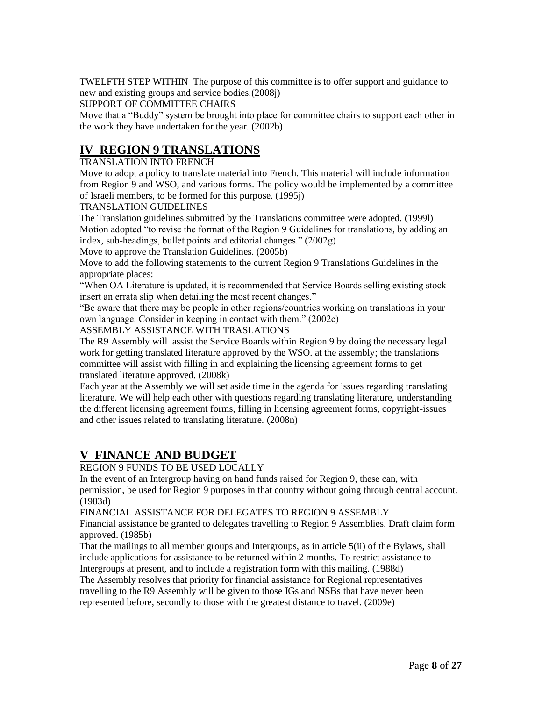TWELFTH STEP WITHIN The purpose of this committee is to offer support and guidance to new and existing groups and service bodies.(2008j)

SUPPORT OF COMMITTEE CHAIRS

Move that a "Buddy" system be brought into place for committee chairs to support each other in the work they have undertaken for the year. (2002b)

## **IV REGION 9 TRANSLATIONS**

#### TRANSLATION INTO FRENCH

Move to adopt a policy to translate material into French. This material will include information from Region 9 and WSO, and various forms. The policy would be implemented by a committee of Israeli members, to be formed for this purpose. (1995j)

#### TRANSLATION GUIDELINES

The Translation guidelines submitted by the Translations committee were adopted. (1999l) Motion adopted "to revise the format of the Region 9 Guidelines for translations, by adding an index, sub-headings, bullet points and editorial changes." (2002g)

Move to approve the Translation Guidelines. (2005b)

Move to add the following statements to the current Region 9 Translations Guidelines in the appropriate places:

"When OA Literature is updated, it is recommended that Service Boards selling existing stock insert an errata slip when detailing the most recent changes."

"Be aware that there may be people in other regions/countries working on translations in your own language. Consider in keeping in contact with them." (2002c)

ASSEMBLY ASSISTANCE WITH TRASLATIONS

The R9 Assembly will assist the Service Boards within Region 9 by doing the necessary legal work for getting translated literature approved by the WSO. at the assembly; the translations committee will assist with filling in and explaining the licensing agreement forms to get translated literature approved. (2008k)

Each year at the Assembly we will set aside time in the agenda for issues regarding translating literature. We will help each other with questions regarding translating literature, understanding the different licensing agreement forms, filling in licensing agreement forms, copyright-issues and other issues related to translating literature. (2008n)

## **V FINANCE AND BUDGET**

REGION 9 FUNDS TO BE USED LOCALLY

In the event of an Intergroup having on hand funds raised for Region 9, these can, with permission, be used for Region 9 purposes in that country without going through central account. (1983d)

FINANCIAL ASSISTANCE FOR DELEGATES TO REGION 9 ASSEMBLY

Financial assistance be granted to delegates travelling to Region 9 Assemblies. Draft claim form approved. (1985b)

That the mailings to all member groups and Intergroups, as in article 5(ii) of the Bylaws, shall include applications for assistance to be returned within 2 months. To restrict assistance to Intergroups at present, and to include a registration form with this mailing. (1988d)

The Assembly resolves that priority for financial assistance for Regional representatives travelling to the R9 Assembly will be given to those IGs and NSBs that have never been represented before, secondly to those with the greatest distance to travel. (2009e)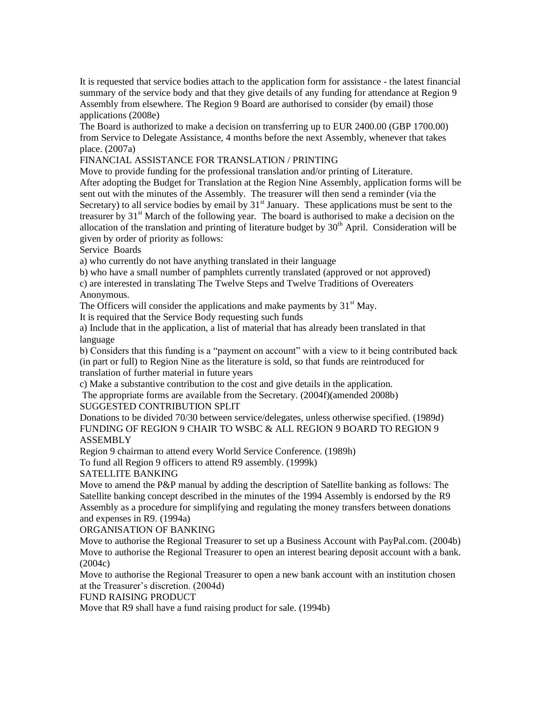It is requested that service bodies attach to the application form for assistance - the latest financial summary of the service body and that they give details of any funding for attendance at Region 9 Assembly from elsewhere. The Region 9 Board are authorised to consider (by email) those applications (2008e)

The Board is authorized to make a decision on transferring up to EUR 2400.00 (GBP 1700.00) from Service to Delegate Assistance, 4 months before the next Assembly, whenever that takes place. (2007a)

#### FINANCIAL ASSISTANCE FOR TRANSLATION / PRINTING

Move to provide funding for the professional translation and/or printing of Literature. After adopting the Budget for Translation at the Region Nine Assembly, application forms will be sent out with the minutes of the Assembly. The treasurer will then send a reminder (via the Secretary) to all service bodies by email by  $31<sup>st</sup>$  January. These applications must be sent to the treasurer by  $31<sup>st</sup>$  March of the following year. The board is authorised to make a decision on the allocation of the translation and printing of literature budget by  $30<sup>th</sup>$  April. Consideration will be given by order of priority as follows:

Service Boards

a) who currently do not have anything translated in their language

b) who have a small number of pamphlets currently translated (approved or not approved)

c) are interested in translating The Twelve Steps and Twelve Traditions of Overeaters Anonymous.

The Officers will consider the applications and make payments by  $31<sup>st</sup>$  May.

It is required that the Service Body requesting such funds

a) Include that in the application, a list of material that has already been translated in that language

b) Considers that this funding is a "payment on account" with a view to it being contributed back (in part or full) to Region Nine as the literature is sold, so that funds are reintroduced for translation of further material in future years

c) Make a substantive contribution to the cost and give details in the application.

The appropriate forms are available from the Secretary. (2004f)(amended 2008b)

SUGGESTED CONTRIBUTION SPLIT

Donations to be divided 70/30 between service/delegates, unless otherwise specified. (1989d) FUNDING OF REGION 9 CHAIR TO WSBC & ALL REGION 9 BOARD TO REGION 9 ASSEMBLY

Region 9 chairman to attend every World Service Conference. (1989h)

To fund all Region 9 officers to attend R9 assembly. (1999k)

#### SATELLITE BANKING

Move to amend the P&P manual by adding the description of Satellite banking as follows: The Satellite banking concept described in the minutes of the 1994 Assembly is endorsed by the R9 Assembly as a procedure for simplifying and regulating the money transfers between donations and expenses in R9. (1994a)

ORGANISATION OF BANKING

Move to authorise the Regional Treasurer to set up a Business Account with PayPal.com. (2004b) Move to authorise the Regional Treasurer to open an interest bearing deposit account with a bank. (2004c)

Move to authorise the Regional Treasurer to open a new bank account with an institution chosen at the Treasurer"s discretion. (2004d)

FUND RAISING PRODUCT

Move that R9 shall have a fund raising product for sale. (1994b)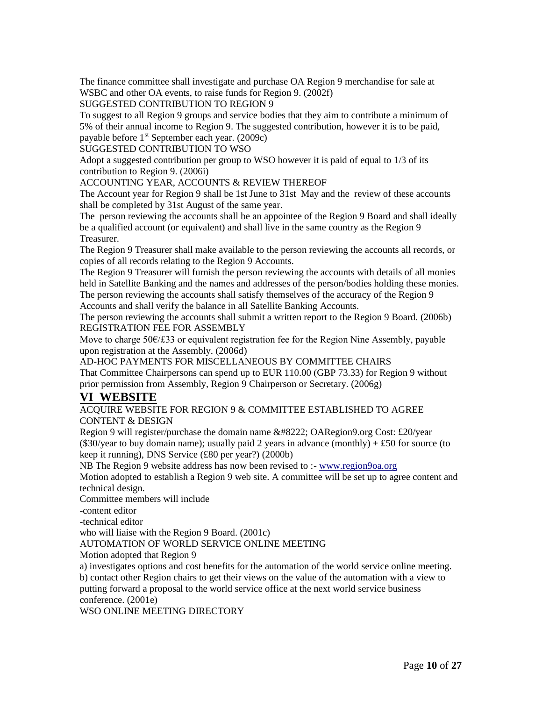The finance committee shall investigate and purchase OA Region 9 merchandise for sale at WSBC and other OA events, to raise funds for Region 9. (2002f)

SUGGESTED CONTRIBUTION TO REGION 9

To suggest to all Region 9 groups and service bodies that they aim to contribute a minimum of 5% of their annual income to Region 9. The suggested contribution, however it is to be paid, payable before  $1<sup>st</sup>$  September each year. (2009c)

SUGGESTED CONTRIBUTION TO WSO

Adopt a suggested contribution per group to WSO however it is paid of equal to 1/3 of its contribution to Region 9. (2006i)

#### ACCOUNTING YEAR, ACCOUNTS & REVIEW THEREOF

The Account year for Region 9 shall be 1st June to 31st May and the review of these accounts shall be completed by 31st August of the same year.

The person reviewing the accounts shall be an appointee of the Region 9 Board and shall ideally be a qualified account (or equivalent) and shall live in the same country as the Region 9 Treasurer.

The Region 9 Treasurer shall make available to the person reviewing the accounts all records, or copies of all records relating to the Region 9 Accounts.

The Region 9 Treasurer will furnish the person reviewing the accounts with details of all monies held in Satellite Banking and the names and addresses of the person/bodies holding these monies. The person reviewing the accounts shall satisfy themselves of the accuracy of the Region 9 Accounts and shall verify the balance in all Satellite Banking Accounts.

The person reviewing the accounts shall submit a written report to the Region 9 Board. (2006b) REGISTRATION FEE FOR ASSEMBLY

Move to charge 50€/£33 or equivalent registration fee for the Region Nine Assembly, payable upon registration at the Assembly. (2006d)

AD-HOC PAYMENTS FOR MISCELLANEOUS BY COMMITTEE CHAIRS That Committee Chairpersons can spend up to EUR 110.00 (GBP 73.33) for Region 9 without

prior permission from Assembly, Region 9 Chairperson or Secretary. (2006g)

## **VI WEBSITE**

#### ACQUIRE WEBSITE FOR REGION 9 & COMMITTEE ESTABLISHED TO AGREE CONTENT & DESIGN

Region 9 will register/purchase the domain name " OARegion9.org Cost: £20/year (\$30/year to buy domain name); usually paid 2 years in advance (monthly)  $+ £50$  for source (to keep it running), DNS Service (£80 per year?) (2000b)

NB The Region 9 website address has now been revised to :- [www.region9oa.org](http://www.region9oa.org/)

Motion adopted to establish a Region 9 web site. A committee will be set up to agree content and technical design.

Committee members will include

-content editor

-technical editor

who will liaise with the Region 9 Board. (2001c)

AUTOMATION OF WORLD SERVICE ONLINE MEETING

Motion adopted that Region 9

a) investigates options and cost benefits for the automation of the world service online meeting.

b) contact other Region chairs to get their views on the value of the automation with a view to putting forward a proposal to the world service office at the next world service business conference. (2001e)

WSO ONLINE MEETING DIRECTORY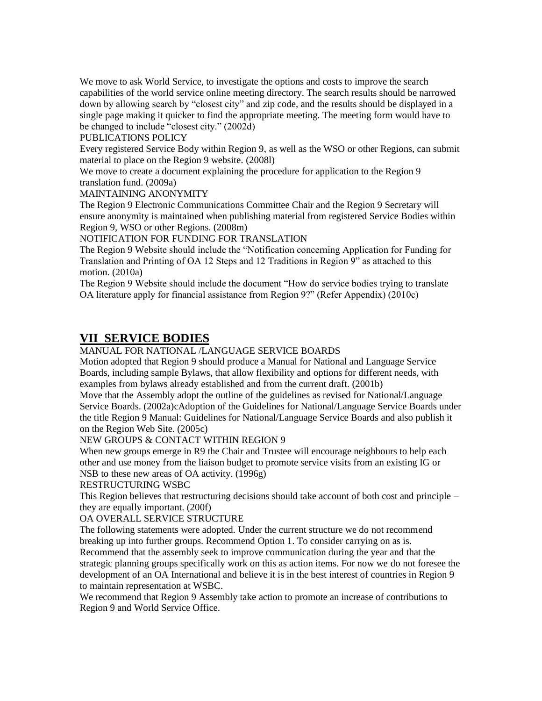We move to ask World Service, to investigate the options and costs to improve the search capabilities of the world service online meeting directory. The search results should be narrowed down by allowing search by "closest city" and zip code, and the results should be displayed in a single page making it quicker to find the appropriate meeting. The meeting form would have to be changed to include "closest city." (2002d)

#### PUBLICATIONS POLICY

Every registered Service Body within Region 9, as well as the WSO or other Regions, can submit material to place on the Region 9 website. (2008l)

We move to create a document explaining the procedure for application to the Region 9 translation fund. (2009a)

MAINTAINING ANONYMITY

The Region 9 Electronic Communications Committee Chair and the Region 9 Secretary will ensure anonymity is maintained when publishing material from registered Service Bodies within Region 9, WSO or other Regions. (2008m)

NOTIFICATION FOR FUNDING FOR TRANSLATION

The Region 9 Website should include the "Notification concerning Application for Funding for Translation and Printing of OA 12 Steps and 12 Traditions in Region 9" as attached to this motion. (2010a)

The Region 9 Website should include the document "How do service bodies trying to translate OA literature apply for financial assistance from Region 9?" (Refer Appendix) (2010c)

### **VII SERVICE BODIES**

#### MANUAL FOR NATIONAL /LANGUAGE SERVICE BOARDS

Motion adopted that Region 9 should produce a Manual for National and Language Service Boards, including sample Bylaws, that allow flexibility and options for different needs, with examples from bylaws already established and from the current draft. (2001b)

Move that the Assembly adopt the outline of the guidelines as revised for National/Language Service Boards. (2002a)cAdoption of the Guidelines for National/Language Service Boards under the title Region 9 Manual: Guidelines for National/Language Service Boards and also publish it on the Region Web Site. (2005c)

NEW GROUPS & CONTACT WITHIN REGION 9

When new groups emerge in R9 the Chair and Trustee will encourage neighbours to help each other and use money from the liaison budget to promote service visits from an existing IG or NSB to these new areas of OA activity. (1996g)

RESTRUCTURING WSBC

This Region believes that restructuring decisions should take account of both cost and principle – they are equally important. (200f)

OA OVERALL SERVICE STRUCTURE

The following statements were adopted. Under the current structure we do not recommend breaking up into further groups. Recommend Option 1. To consider carrying on as is.

Recommend that the assembly seek to improve communication during the year and that the strategic planning groups specifically work on this as action items. For now we do not foresee the development of an OA International and believe it is in the best interest of countries in Region 9 to maintain representation at WSBC.

We recommend that Region 9 Assembly take action to promote an increase of contributions to Region 9 and World Service Office.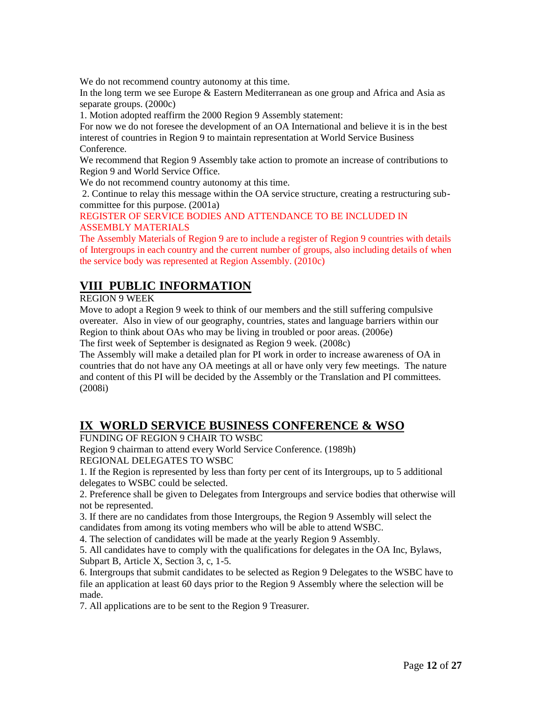We do not recommend country autonomy at this time.

In the long term we see Europe & Eastern Mediterranean as one group and Africa and Asia as separate groups. (2000c)

1. Motion adopted reaffirm the 2000 Region 9 Assembly statement:

For now we do not foresee the development of an OA International and believe it is in the best interest of countries in Region 9 to maintain representation at World Service Business Conference.

We recommend that Region 9 Assembly take action to promote an increase of contributions to Region 9 and World Service Office.

We do not recommend country autonomy at this time.

2. Continue to relay this message within the OA service structure, creating a restructuring subcommittee for this purpose. (2001a)

REGISTER OF SERVICE BODIES AND ATTENDANCE TO BE INCLUDED IN ASSEMBLY MATERIALS

The Assembly Materials of Region 9 are to include a register of Region 9 countries with details of Intergroups in each country and the current number of groups, also including details of when the service body was represented at Region Assembly. (2010c)

## **VIII PUBLIC INFORMATION**

#### REGION 9 WEEK

Move to adopt a Region 9 week to think of our members and the still suffering compulsive overeater. Also in view of our geography, countries, states and language barriers within our Region to think about OAs who may be living in troubled or poor areas. (2006e)

The first week of September is designated as Region 9 week. (2008c)

The Assembly will make a detailed plan for PI work in order to increase awareness of OA in countries that do not have any OA meetings at all or have only very few meetings. The nature and content of this PI will be decided by the Assembly or the Translation and PI committees. (2008i)

## **IX WORLD SERVICE BUSINESS CONFERENCE & WSO**

FUNDING OF REGION 9 CHAIR TO WSBC

Region 9 chairman to attend every World Service Conference. (1989h) REGIONAL DELEGATES TO WSBC

1. If the Region is represented by less than forty per cent of its Intergroups, up to 5 additional delegates to WSBC could be selected.

2. Preference shall be given to Delegates from Intergroups and service bodies that otherwise will not be represented.

3. If there are no candidates from those Intergroups, the Region 9 Assembly will select the candidates from among its voting members who will be able to attend WSBC.

4. The selection of candidates will be made at the yearly Region 9 Assembly.

5. All candidates have to comply with the qualifications for delegates in the OA Inc, Bylaws, Subpart B, Article X, Section 3, c, 1-5.

6. Intergroups that submit candidates to be selected as Region 9 Delegates to the WSBC have to file an application at least 60 days prior to the Region 9 Assembly where the selection will be made.

7. All applications are to be sent to the Region 9 Treasurer.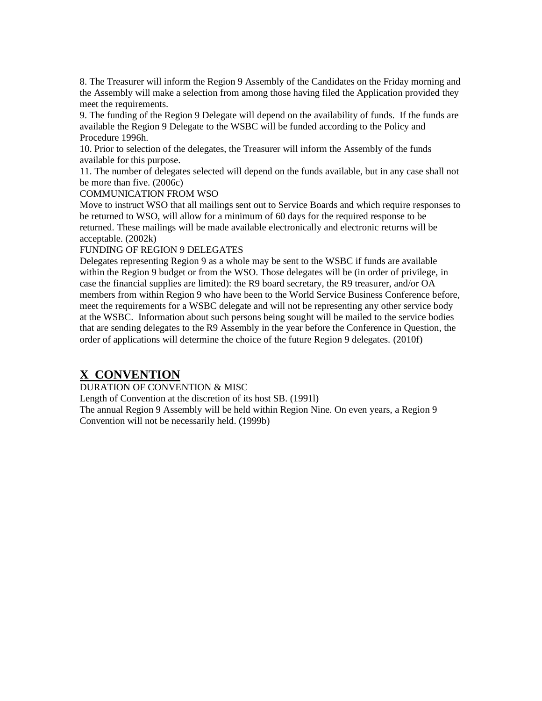8. The Treasurer will inform the Region 9 Assembly of the Candidates on the Friday morning and the Assembly will make a selection from among those having filed the Application provided they meet the requirements.

9. The funding of the Region 9 Delegate will depend on the availability of funds. If the funds are available the Region 9 Delegate to the WSBC will be funded according to the Policy and Procedure 1996h.

10. Prior to selection of the delegates, the Treasurer will inform the Assembly of the funds available for this purpose.

11. The number of delegates selected will depend on the funds available, but in any case shall not be more than five. (2006c)

#### COMMUNICATION FROM WSO

Move to instruct WSO that all mailings sent out to Service Boards and which require responses to be returned to WSO, will allow for a minimum of 60 days for the required response to be returned. These mailings will be made available electronically and electronic returns will be acceptable. (2002k)

#### FUNDING OF REGION 9 DELEGATES

Delegates representing Region 9 as a whole may be sent to the WSBC if funds are available within the Region 9 budget or from the WSO. Those delegates will be (in order of privilege, in case the financial supplies are limited): the R9 board secretary, the R9 treasurer, and/or OA members from within Region 9 who have been to the World Service Business Conference before, meet the requirements for a WSBC delegate and will not be representing any other service body at the WSBC. Information about such persons being sought will be mailed to the service bodies that are sending delegates to the R9 Assembly in the year before the Conference in Question, the order of applications will determine the choice of the future Region 9 delegates. (2010f)

#### **X CONVENTION**

DURATION OF CONVENTION & MISC

Length of Convention at the discretion of its host SB. (1991l)

The annual Region 9 Assembly will be held within Region Nine. On even years, a Region 9 Convention will not be necessarily held. (1999b)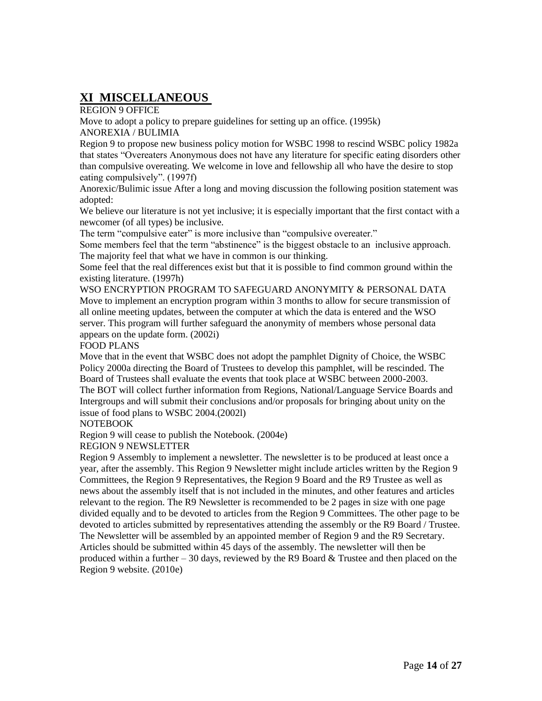## **XI MISCELLANEOUS**

REGION 9 OFFICE

Move to adopt a policy to prepare guidelines for setting up an office. (1995k) ANOREXIA / BULIMIA

Region 9 to propose new business policy motion for WSBC 1998 to rescind WSBC policy 1982a that states "Overeaters Anonymous does not have any literature for specific eating disorders other than compulsive overeating. We welcome in love and fellowship all who have the desire to stop eating compulsively". (1997f)

Anorexic/Bulimic issue After a long and moving discussion the following position statement was adopted:

We believe our literature is not yet inclusive; it is especially important that the first contact with a newcomer (of all types) be inclusive.

The term "compulsive eater" is more inclusive than "compulsive overeater."

Some members feel that the term "abstinence" is the biggest obstacle to an inclusive approach. The majority feel that what we have in common is our thinking.

Some feel that the real differences exist but that it is possible to find common ground within the existing literature. (1997h)

WSO ENCRYPTION PROGRAM TO SAFEGUARD ANONYMITY & PERSONAL DATA Move to implement an encryption program within 3 months to allow for secure transmission of all online meeting updates, between the computer at which the data is entered and the WSO server. This program will further safeguard the anonymity of members whose personal data appears on the update form. (2002i)

FOOD PLANS

Move that in the event that WSBC does not adopt the pamphlet Dignity of Choice, the WSBC Policy 2000a directing the Board of Trustees to develop this pamphlet, will be rescinded. The Board of Trustees shall evaluate the events that took place at WSBC between 2000-2003. The BOT will collect further information from Regions, National/Language Service Boards and Intergroups and will submit their conclusions and/or proposals for bringing about unity on the issue of food plans to WSBC 2004.(2002l)

NOTEBOOK

Region 9 will cease to publish the Notebook. (2004e)

REGION 9 NEWSLETTER

Region 9 Assembly to implement a newsletter. The newsletter is to be produced at least once a year, after the assembly. This Region 9 Newsletter might include articles written by the Region 9 Committees, the Region 9 Representatives, the Region 9 Board and the R9 Trustee as well as news about the assembly itself that is not included in the minutes, and other features and articles relevant to the region. The R9 Newsletter is recommended to be 2 pages in size with one page divided equally and to be devoted to articles from the Region 9 Committees. The other page to be devoted to articles submitted by representatives attending the assembly or the R9 Board / Trustee. The Newsletter will be assembled by an appointed member of Region 9 and the R9 Secretary. Articles should be submitted within 45 days of the assembly. The newsletter will then be produced within a further  $-30$  days, reviewed by the R9 Board  $\&$  Trustee and then placed on the Region 9 website. (2010e)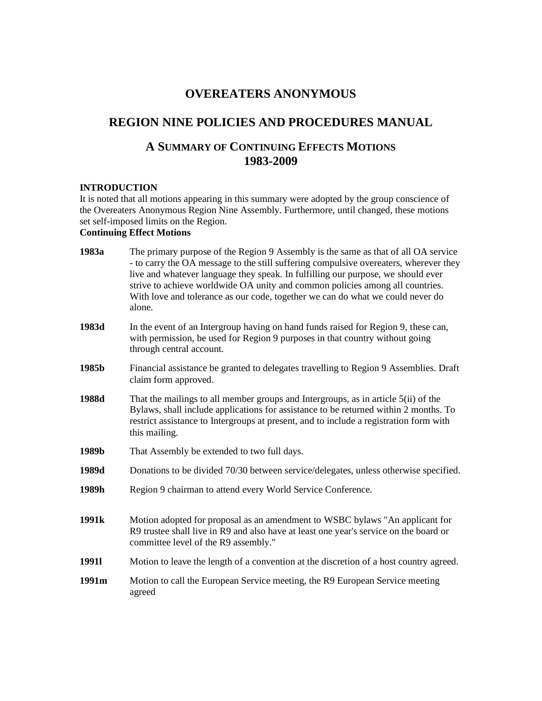## **OVEREATERS ANONYMOUS**

## **REGION NINE POLICIES AND PROCEDURES MANUAL**

## **A SUMMARY OF CONTINUING EFFECTS MOTIONS 1983-2009**

#### **INTRODUCTION**

It is noted that all motions appearing in this summary were adopted by the group conscience of the Overeaters Anonymous Region Nine Assembly. Furthermore, until changed, these motions set self-imposed limits on the Region.

#### **Continuing Effect Motions**

| 1983a             | The primary purpose of the Region 9 Assembly is the same as that of all OA service<br>- to carry the OA message to the still suffering compulsive overeaters, wherever they<br>live and whatever language they speak. In fulfilling our purpose, we should ever<br>strive to achieve worldwide OA unity and common policies among all countries.<br>With love and tolerance as our code, together we can do what we could never do<br>alone. |
|-------------------|----------------------------------------------------------------------------------------------------------------------------------------------------------------------------------------------------------------------------------------------------------------------------------------------------------------------------------------------------------------------------------------------------------------------------------------------|
| 1983d             | In the event of an Intergroup having on hand funds raised for Region 9, these can,<br>with permission, be used for Region 9 purposes in that country without going<br>through central account.                                                                                                                                                                                                                                               |
| 1985b             | Financial assistance be granted to delegates travelling to Region 9 Assemblies. Draft<br>claim form approved.                                                                                                                                                                                                                                                                                                                                |
| 1988d             | That the mailings to all member groups and Intergroups, as in article 5(ii) of the<br>Bylaws, shall include applications for assistance to be returned within 2 months. To<br>restrict assistance to Intergroups at present, and to include a registration form with<br>this mailing.                                                                                                                                                        |
| 1989b             | That Assembly be extended to two full days.                                                                                                                                                                                                                                                                                                                                                                                                  |
| 1989d             | Donations to be divided 70/30 between service/delegates, unless otherwise specified.                                                                                                                                                                                                                                                                                                                                                         |
| 1989h             | Region 9 chairman to attend every World Service Conference.                                                                                                                                                                                                                                                                                                                                                                                  |
| 1991 <sub>k</sub> | Motion adopted for proposal as an amendment to WSBC bylaws "An applicant for<br>R9 trustee shall live in R9 and also have at least one year's service on the board or<br>committee level of the R9 assembly."                                                                                                                                                                                                                                |
| 19911             | Motion to leave the length of a convention at the discretion of a host country agreed.                                                                                                                                                                                                                                                                                                                                                       |
| 1991m             | Motion to call the European Service meeting, the R9 European Service meeting<br>agreed                                                                                                                                                                                                                                                                                                                                                       |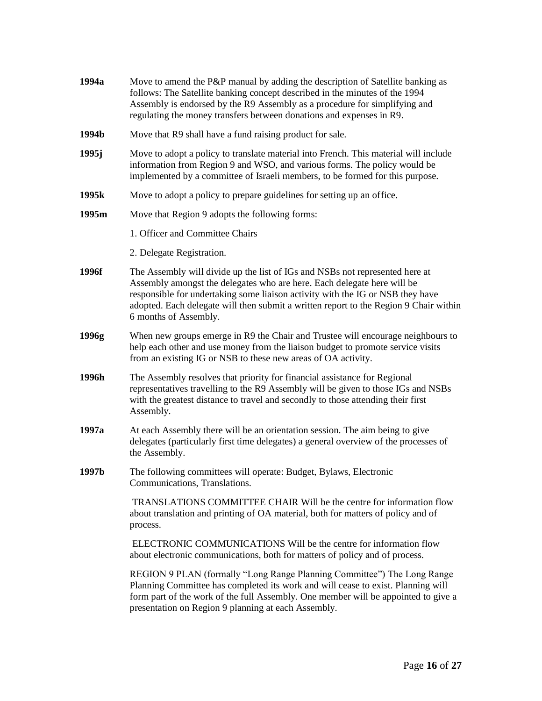| 1994a | Move to amend the P&P manual by adding the description of Satellite banking as<br>follows: The Satellite banking concept described in the minutes of the 1994<br>Assembly is endorsed by the R9 Assembly as a procedure for simplifying and<br>regulating the money transfers between donations and expenses in R9.                                         |
|-------|-------------------------------------------------------------------------------------------------------------------------------------------------------------------------------------------------------------------------------------------------------------------------------------------------------------------------------------------------------------|
| 1994b | Move that R9 shall have a fund raising product for sale.                                                                                                                                                                                                                                                                                                    |
| 1995j | Move to adopt a policy to translate material into French. This material will include<br>information from Region 9 and WSO, and various forms. The policy would be<br>implemented by a committee of Israeli members, to be formed for this purpose.                                                                                                          |
| 1995k | Move to adopt a policy to prepare guidelines for setting up an office.                                                                                                                                                                                                                                                                                      |
| 1995m | Move that Region 9 adopts the following forms:                                                                                                                                                                                                                                                                                                              |
|       | 1. Officer and Committee Chairs                                                                                                                                                                                                                                                                                                                             |
|       | 2. Delegate Registration.                                                                                                                                                                                                                                                                                                                                   |
| 1996f | The Assembly will divide up the list of IGs and NSBs not represented here at<br>Assembly amongst the delegates who are here. Each delegate here will be<br>responsible for undertaking some liaison activity with the IG or NSB they have<br>adopted. Each delegate will then submit a written report to the Region 9 Chair within<br>6 months of Assembly. |
| 1996g | When new groups emerge in R9 the Chair and Trustee will encourage neighbours to<br>help each other and use money from the liaison budget to promote service visits<br>from an existing IG or NSB to these new areas of OA activity.                                                                                                                         |
| 1996h | The Assembly resolves that priority for financial assistance for Regional<br>representatives travelling to the R9 Assembly will be given to those IGs and NSBs<br>with the greatest distance to travel and secondly to those attending their first<br>Assembly.                                                                                             |
| 1997a | At each Assembly there will be an orientation session. The aim being to give<br>delegates (particularly first time delegates) a general overview of the processes of<br>the Assembly.                                                                                                                                                                       |
| 1997b | The following committees will operate: Budget, Bylaws, Electronic<br>Communications, Translations.                                                                                                                                                                                                                                                          |
|       | TRANSLATIONS COMMITTEE CHAIR Will be the centre for information flow<br>about translation and printing of OA material, both for matters of policy and of<br>process.                                                                                                                                                                                        |
|       | ELECTRONIC COMMUNICATIONS Will be the centre for information flow<br>about electronic communications, both for matters of policy and of process.                                                                                                                                                                                                            |
|       | REGION 9 PLAN (formally "Long Range Planning Committee") The Long Range<br>Planning Committee has completed its work and will cease to exist. Planning will<br>form part of the work of the full Assembly. One member will be appointed to give a<br>presentation on Region 9 planning at each Assembly.                                                    |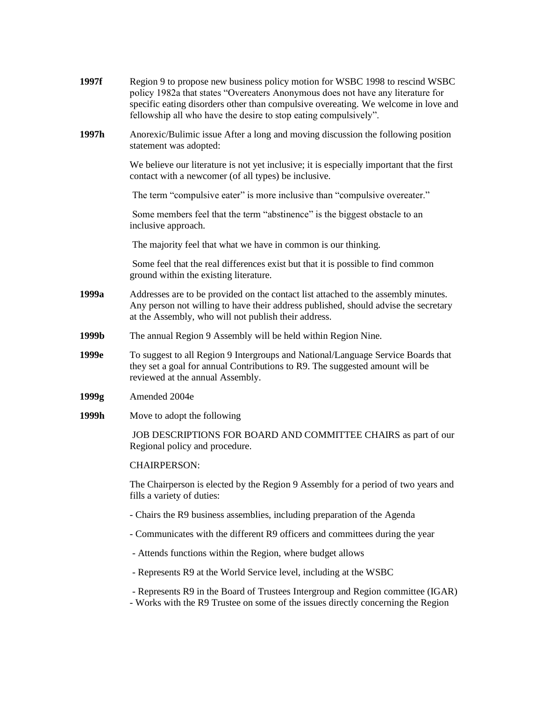| 1997f | Region 9 to propose new business policy motion for WSBC 1998 to rescind WSBC<br>policy 1982a that states "Overeaters Anonymous does not have any literature for<br>specific eating disorders other than compulsive overeating. We welcome in love and<br>fellowship all who have the desire to stop eating compulsively". |
|-------|---------------------------------------------------------------------------------------------------------------------------------------------------------------------------------------------------------------------------------------------------------------------------------------------------------------------------|
| 1997h | Anorexic/Bulimic issue After a long and moving discussion the following position<br>statement was adopted:                                                                                                                                                                                                                |
|       | We believe our literature is not yet inclusive; it is especially important that the first<br>contact with a newcomer (of all types) be inclusive.                                                                                                                                                                         |
|       | The term "compulsive eater" is more inclusive than "compulsive overeater."                                                                                                                                                                                                                                                |
|       | Some members feel that the term "abstinence" is the biggest obstacle to an<br>inclusive approach.                                                                                                                                                                                                                         |
|       | The majority feel that what we have in common is our thinking.                                                                                                                                                                                                                                                            |
|       | Some feel that the real differences exist but that it is possible to find common<br>ground within the existing literature.                                                                                                                                                                                                |
| 1999a | Addresses are to be provided on the contact list attached to the assembly minutes.<br>Any person not willing to have their address published, should advise the secretary<br>at the Assembly, who will not publish their address.                                                                                         |
| 1999b | The annual Region 9 Assembly will be held within Region Nine.                                                                                                                                                                                                                                                             |
| 1999e | To suggest to all Region 9 Intergroups and National/Language Service Boards that<br>they set a goal for annual Contributions to R9. The suggested amount will be<br>reviewed at the annual Assembly.                                                                                                                      |
| 1999g | Amended 2004e                                                                                                                                                                                                                                                                                                             |
| 1999h | Move to adopt the following                                                                                                                                                                                                                                                                                               |
|       | JOB DESCRIPTIONS FOR BOARD AND COMMITTEE CHAIRS as part of our<br>Regional policy and procedure.                                                                                                                                                                                                                          |
|       | <b>CHAIRPERSON:</b>                                                                                                                                                                                                                                                                                                       |
|       | The Chairperson is elected by the Region 9 Assembly for a period of two years and<br>fills a variety of duties:                                                                                                                                                                                                           |
|       | - Chairs the R9 business assemblies, including preparation of the Agenda                                                                                                                                                                                                                                                  |
|       | - Communicates with the different R9 officers and committees during the year                                                                                                                                                                                                                                              |
|       |                                                                                                                                                                                                                                                                                                                           |

- Attends functions within the Region, where budget allows
- Represents R9 at the World Service level, including at the WSBC
- Represents R9 in the Board of Trustees Intergroup and Region committee (IGAR)
- Works with the R9 Trustee on some of the issues directly concerning the Region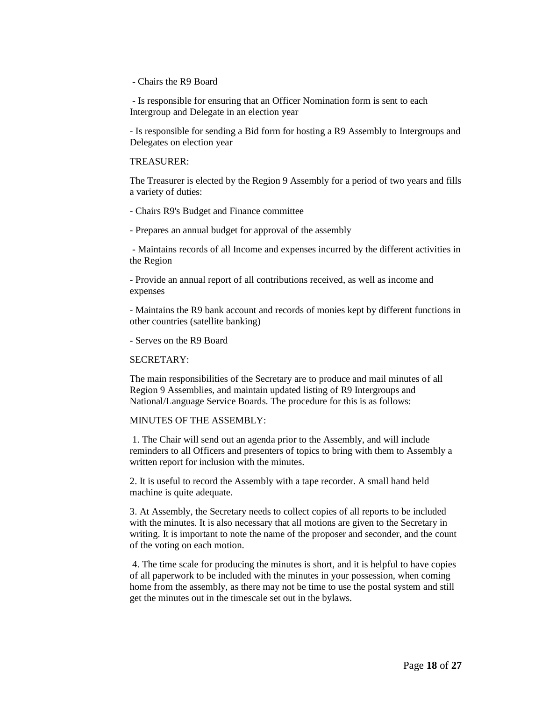- Chairs the R9 Board

- Is responsible for ensuring that an Officer Nomination form is sent to each Intergroup and Delegate in an election year

- Is responsible for sending a Bid form for hosting a R9 Assembly to Intergroups and Delegates on election year

#### TREASURER:

The Treasurer is elected by the Region 9 Assembly for a period of two years and fills a variety of duties:

- Chairs R9's Budget and Finance committee
- Prepares an annual budget for approval of the assembly

- Maintains records of all Income and expenses incurred by the different activities in the Region

- Provide an annual report of all contributions received, as well as income and expenses

- Maintains the R9 bank account and records of monies kept by different functions in other countries (satellite banking)

- Serves on the R9 Board

#### SECRETARY:

The main responsibilities of the Secretary are to produce and mail minutes of all Region 9 Assemblies, and maintain updated listing of R9 Intergroups and National/Language Service Boards. The procedure for this is as follows:

#### MINUTES OF THE ASSEMBLY:

1. The Chair will send out an agenda prior to the Assembly, and will include reminders to all Officers and presenters of topics to bring with them to Assembly a written report for inclusion with the minutes.

2. It is useful to record the Assembly with a tape recorder. A small hand held machine is quite adequate.

3. At Assembly, the Secretary needs to collect copies of all reports to be included with the minutes. It is also necessary that all motions are given to the Secretary in writing. It is important to note the name of the proposer and seconder, and the count of the voting on each motion.

4. The time scale for producing the minutes is short, and it is helpful to have copies of all paperwork to be included with the minutes in your possession, when coming home from the assembly, as there may not be time to use the postal system and still get the minutes out in the timescale set out in the bylaws.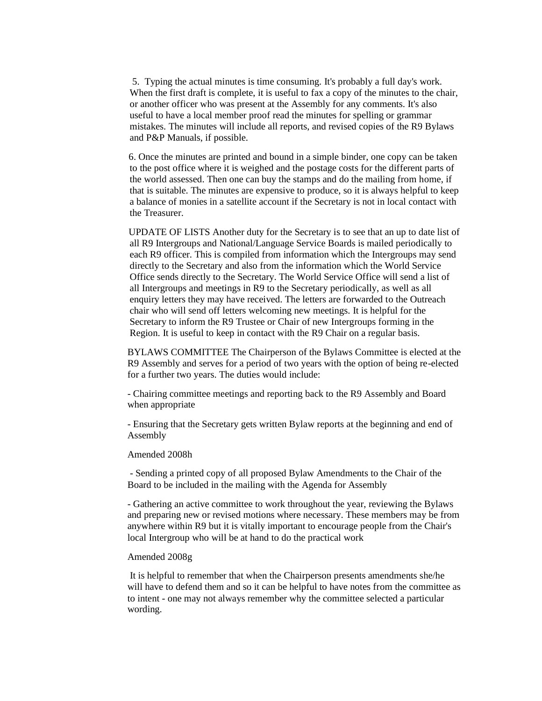5. Typing the actual minutes is time consuming. It's probably a full day's work. When the first draft is complete, it is useful to fax a copy of the minutes to the chair, or another officer who was present at the Assembly for any comments. It's also useful to have a local member proof read the minutes for spelling or grammar mistakes. The minutes will include all reports, and revised copies of the R9 Bylaws and P&P Manuals, if possible.

 6. Once the minutes are printed and bound in a simple binder, one copy can be taken to the post office where it is weighed and the postage costs for the different parts of the world assessed. Then one can buy the stamps and do the mailing from home, if that is suitable. The minutes are expensive to produce, so it is always helpful to keep a balance of monies in a satellite account if the Secretary is not in local contact with the Treasurer.

 UPDATE OF LISTS Another duty for the Secretary is to see that an up to date list of all R9 Intergroups and National/Language Service Boards is mailed periodically to each R9 officer. This is compiled from information which the Intergroups may send directly to the Secretary and also from the information which the World Service Office sends directly to the Secretary. The World Service Office will send a list of all Intergroups and meetings in R9 to the Secretary periodically, as well as all enquiry letters they may have received. The letters are forwarded to the Outreach chair who will send off letters welcoming new meetings. It is helpful for the Secretary to inform the R9 Trustee or Chair of new Intergroups forming in the Region. It is useful to keep in contact with the R9 Chair on a regular basis.

BYLAWS COMMITTEE The Chairperson of the Bylaws Committee is elected at the R9 Assembly and serves for a period of two years with the option of being re-elected for a further two years. The duties would include:

- Chairing committee meetings and reporting back to the R9 Assembly and Board when appropriate

- Ensuring that the Secretary gets written Bylaw reports at the beginning and end of Assembly

#### Amended 2008h

- Sending a printed copy of all proposed Bylaw Amendments to the Chair of the Board to be included in the mailing with the Agenda for Assembly

- Gathering an active committee to work throughout the year, reviewing the Bylaws and preparing new or revised motions where necessary. These members may be from anywhere within R9 but it is vitally important to encourage people from the Chair's local Intergroup who will be at hand to do the practical work

#### Amended 2008g

It is helpful to remember that when the Chairperson presents amendments she/he will have to defend them and so it can be helpful to have notes from the committee as to intent - one may not always remember why the committee selected a particular wording.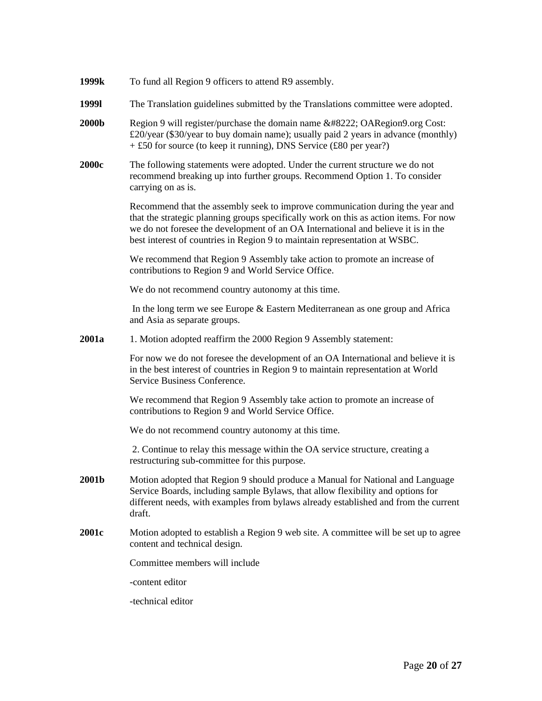| 1999k        | To fund all Region 9 officers to attend R9 assembly.                                                                                                                                                                                                                                                                                      |
|--------------|-------------------------------------------------------------------------------------------------------------------------------------------------------------------------------------------------------------------------------------------------------------------------------------------------------------------------------------------|
| 19991        | The Translation guidelines submitted by the Translations committee were adopted.                                                                                                                                                                                                                                                          |
| <b>2000b</b> | Region 9 will register/purchase the domain name " OARegion9.org Cost:<br>£20/year (\$30/year to buy domain name); usually paid 2 years in advance (monthly)<br>$+ £50$ for source (to keep it running), DNS Service (£80 per year?)                                                                                                       |
| <b>2000c</b> | The following statements were adopted. Under the current structure we do not<br>recommend breaking up into further groups. Recommend Option 1. To consider<br>carrying on as is.                                                                                                                                                          |
|              | Recommend that the assembly seek to improve communication during the year and<br>that the strategic planning groups specifically work on this as action items. For now<br>we do not foresee the development of an OA International and believe it is in the<br>best interest of countries in Region 9 to maintain representation at WSBC. |
|              | We recommend that Region 9 Assembly take action to promote an increase of<br>contributions to Region 9 and World Service Office.                                                                                                                                                                                                          |
|              | We do not recommend country autonomy at this time.                                                                                                                                                                                                                                                                                        |
|              | In the long term we see Europe $&$ Eastern Mediterranean as one group and Africa<br>and Asia as separate groups.                                                                                                                                                                                                                          |
| 2001a        | 1. Motion adopted reaffirm the 2000 Region 9 Assembly statement:                                                                                                                                                                                                                                                                          |
|              | For now we do not foresee the development of an OA International and believe it is<br>in the best interest of countries in Region 9 to maintain representation at World<br>Service Business Conference.                                                                                                                                   |
|              | We recommend that Region 9 Assembly take action to promote an increase of<br>contributions to Region 9 and World Service Office.                                                                                                                                                                                                          |
|              | We do not recommend country autonomy at this time.                                                                                                                                                                                                                                                                                        |
|              | 2. Continue to relay this message within the OA service structure, creating a<br>restructuring sub-committee for this purpose.                                                                                                                                                                                                            |
| 2001b        | Motion adopted that Region 9 should produce a Manual for National and Language<br>Service Boards, including sample Bylaws, that allow flexibility and options for<br>different needs, with examples from bylaws already established and from the current<br>draft.                                                                        |
| <b>2001c</b> | Motion adopted to establish a Region 9 web site. A committee will be set up to agree<br>content and technical design.                                                                                                                                                                                                                     |
|              | Committee members will include                                                                                                                                                                                                                                                                                                            |
|              | -content editor                                                                                                                                                                                                                                                                                                                           |
|              | -technical editor                                                                                                                                                                                                                                                                                                                         |
|              |                                                                                                                                                                                                                                                                                                                                           |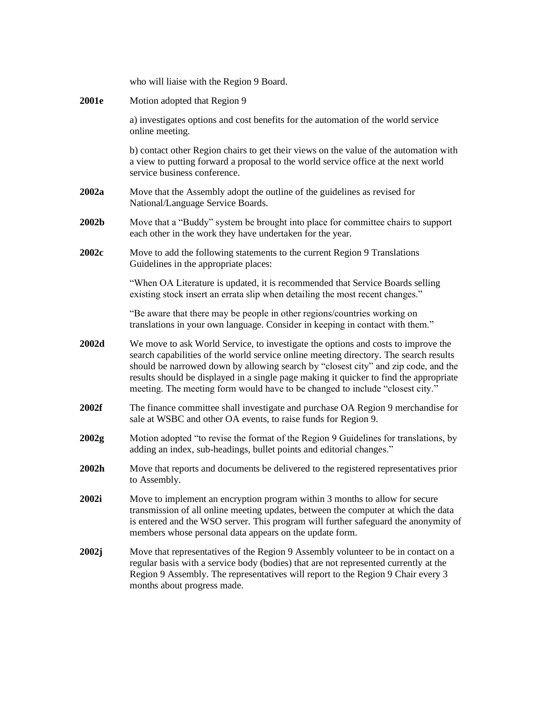|       | who will liaise with the Region 9 Board.                                                                                                                                                                                                                                                                                                                                                                                                    |
|-------|---------------------------------------------------------------------------------------------------------------------------------------------------------------------------------------------------------------------------------------------------------------------------------------------------------------------------------------------------------------------------------------------------------------------------------------------|
| 2001e | Motion adopted that Region 9                                                                                                                                                                                                                                                                                                                                                                                                                |
|       | a) investigates options and cost benefits for the automation of the world service<br>online meeting.                                                                                                                                                                                                                                                                                                                                        |
|       | b) contact other Region chairs to get their views on the value of the automation with<br>a view to putting forward a proposal to the world service office at the next world<br>service business conference.                                                                                                                                                                                                                                 |
| 2002a | Move that the Assembly adopt the outline of the guidelines as revised for<br>National/Language Service Boards.                                                                                                                                                                                                                                                                                                                              |
| 2002b | Move that a "Buddy" system be brought into place for committee chairs to support<br>each other in the work they have undertaken for the year.                                                                                                                                                                                                                                                                                               |
| 2002c | Move to add the following statements to the current Region 9 Translations<br>Guidelines in the appropriate places:                                                                                                                                                                                                                                                                                                                          |
|       | "When OA Literature is updated, it is recommended that Service Boards selling<br>existing stock insert an errata slip when detailing the most recent changes."                                                                                                                                                                                                                                                                              |
|       | "Be aware that there may be people in other regions/countries working on<br>translations in your own language. Consider in keeping in contact with them."                                                                                                                                                                                                                                                                                   |
| 2002d | We move to ask World Service, to investigate the options and costs to improve the<br>search capabilities of the world service online meeting directory. The search results<br>should be narrowed down by allowing search by "closest city" and zip code, and the<br>results should be displayed in a single page making it quicker to find the appropriate<br>meeting. The meeting form would have to be changed to include "closest city." |
| 2002f | The finance committee shall investigate and purchase OA Region 9 merchandise for<br>sale at WSBC and other OA events, to raise funds for Region 9.                                                                                                                                                                                                                                                                                          |
| 2002g | Motion adopted "to revise the format of the Region 9 Guidelines for translations, by<br>adding an index, sub-headings, bullet points and editorial changes."                                                                                                                                                                                                                                                                                |
| 2002h |                                                                                                                                                                                                                                                                                                                                                                                                                                             |
|       | Move that reports and documents be delivered to the registered representatives prior<br>to Assembly.                                                                                                                                                                                                                                                                                                                                        |
| 2002i | Move to implement an encryption program within 3 months to allow for secure<br>transmission of all online meeting updates, between the computer at which the data<br>is entered and the WSO server. This program will further safeguard the anonymity of<br>members whose personal data appears on the update form.                                                                                                                         |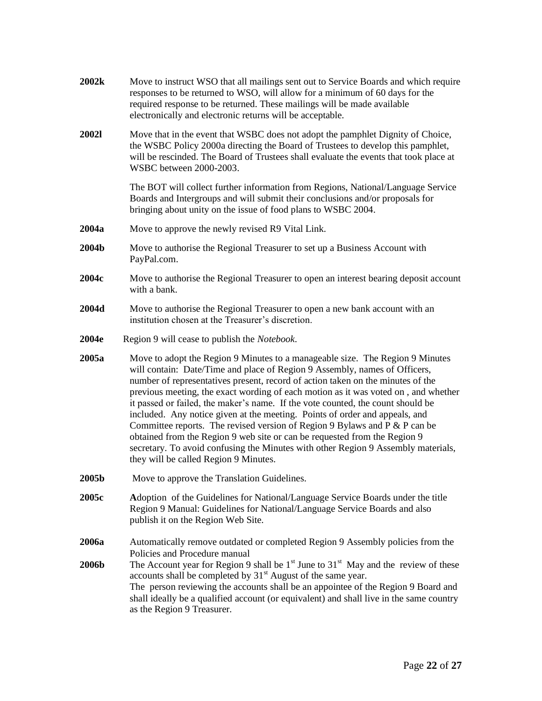| 2002k                 | Move to instruct WSO that all mailings sent out to Service Boards and which require<br>responses to be returned to WSO, will allow for a minimum of 60 days for the<br>required response to be returned. These mailings will be made available<br>electronically and electronic returns will be acceptable.                                                                                                                                                                                                                                                                                                                                                                                                                                                                                        |
|-----------------------|----------------------------------------------------------------------------------------------------------------------------------------------------------------------------------------------------------------------------------------------------------------------------------------------------------------------------------------------------------------------------------------------------------------------------------------------------------------------------------------------------------------------------------------------------------------------------------------------------------------------------------------------------------------------------------------------------------------------------------------------------------------------------------------------------|
| <b>20021</b>          | Move that in the event that WSBC does not adopt the pamphlet Dignity of Choice,<br>the WSBC Policy 2000a directing the Board of Trustees to develop this pamphlet,<br>will be rescinded. The Board of Trustees shall evaluate the events that took place at<br>WSBC between 2000-2003.                                                                                                                                                                                                                                                                                                                                                                                                                                                                                                             |
|                       | The BOT will collect further information from Regions, National/Language Service<br>Boards and Intergroups and will submit their conclusions and/or proposals for<br>bringing about unity on the issue of food plans to WSBC 2004.                                                                                                                                                                                                                                                                                                                                                                                                                                                                                                                                                                 |
| 2004a                 | Move to approve the newly revised R9 Vital Link.                                                                                                                                                                                                                                                                                                                                                                                                                                                                                                                                                                                                                                                                                                                                                   |
| 2004b                 | Move to authorise the Regional Treasurer to set up a Business Account with<br>PayPal.com.                                                                                                                                                                                                                                                                                                                                                                                                                                                                                                                                                                                                                                                                                                          |
| 2004c                 | Move to authorise the Regional Treasurer to open an interest bearing deposit account<br>with a bank.                                                                                                                                                                                                                                                                                                                                                                                                                                                                                                                                                                                                                                                                                               |
| 2004d                 | Move to authorise the Regional Treasurer to open a new bank account with an<br>institution chosen at the Treasurer's discretion.                                                                                                                                                                                                                                                                                                                                                                                                                                                                                                                                                                                                                                                                   |
| 2004e                 | Region 9 will cease to publish the <i>Notebook</i> .                                                                                                                                                                                                                                                                                                                                                                                                                                                                                                                                                                                                                                                                                                                                               |
| 2005a                 | Move to adopt the Region 9 Minutes to a manageable size. The Region 9 Minutes<br>will contain: Date/Time and place of Region 9 Assembly, names of Officers,<br>number of representatives present, record of action taken on the minutes of the<br>previous meeting, the exact wording of each motion as it was voted on, and whether<br>it passed or failed, the maker's name. If the vote counted, the count should be<br>included. Any notice given at the meeting. Points of order and appeals, and<br>Committee reports. The revised version of Region 9 Bylaws and $P \& P$ can be<br>obtained from the Region 9 web site or can be requested from the Region 9<br>secretary. To avoid confusing the Minutes with other Region 9 Assembly materials,<br>they will be called Region 9 Minutes. |
| 2005b                 | Move to approve the Translation Guidelines.                                                                                                                                                                                                                                                                                                                                                                                                                                                                                                                                                                                                                                                                                                                                                        |
| 2005c                 | Adoption of the Guidelines for National/Language Service Boards under the title<br>Region 9 Manual: Guidelines for National/Language Service Boards and also<br>publish it on the Region Web Site.                                                                                                                                                                                                                                                                                                                                                                                                                                                                                                                                                                                                 |
| 2006a<br><b>2006b</b> | Automatically remove outdated or completed Region 9 Assembly policies from the<br>Policies and Procedure manual<br>The Account year for Region 9 shall be $1st$ June to $31st$ May and the review of these<br>accounts shall be completed by 31 <sup>st</sup> August of the same year.<br>The person reviewing the accounts shall be an appointee of the Region 9 Board and<br>shall ideally be a qualified account (or equivalent) and shall live in the same country<br>as the Region 9 Treasurer.                                                                                                                                                                                                                                                                                               |
|                       |                                                                                                                                                                                                                                                                                                                                                                                                                                                                                                                                                                                                                                                                                                                                                                                                    |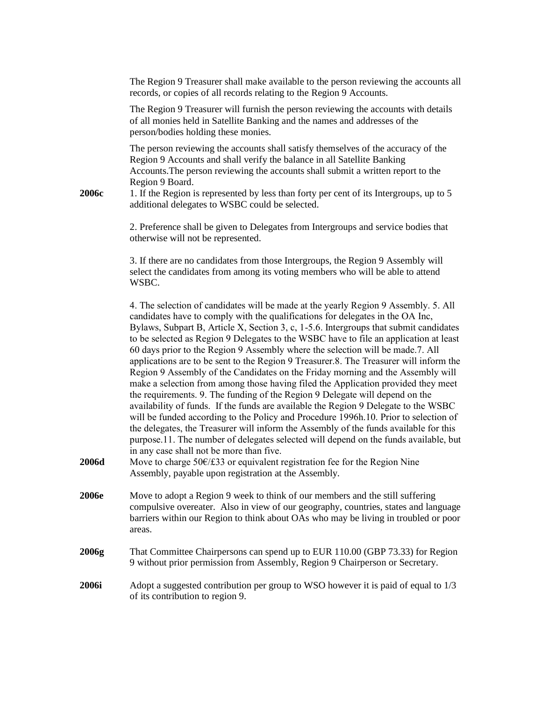The Region 9 Treasurer shall make available to the person reviewing the accounts all records, or copies of all records relating to the Region 9 Accounts.

The Region 9 Treasurer will furnish the person reviewing the accounts with details of all monies held in Satellite Banking and the names and addresses of the person/bodies holding these monies.

The person reviewing the accounts shall satisfy themselves of the accuracy of the Region 9 Accounts and shall verify the balance in all Satellite Banking Accounts.The person reviewing the accounts shall submit a written report to the Region 9 Board.

**2006c** 1. If the Region is represented by less than forty per cent of its Intergroups, up to 5 additional delegates to WSBC could be selected.

> 2. Preference shall be given to Delegates from Intergroups and service bodies that otherwise will not be represented.

3. If there are no candidates from those Intergroups, the Region 9 Assembly will select the candidates from among its voting members who will be able to attend WSBC.

4. The selection of candidates will be made at the yearly Region 9 Assembly. 5. All candidates have to comply with the qualifications for delegates in the OA Inc, Bylaws, Subpart B, Article X, Section 3, c, 1-5.6. Intergroups that submit candidates to be selected as Region 9 Delegates to the WSBC have to file an application at least 60 days prior to the Region 9 Assembly where the selection will be made.7. All applications are to be sent to the Region 9 Treasurer.8. The Treasurer will inform the Region 9 Assembly of the Candidates on the Friday morning and the Assembly will make a selection from among those having filed the Application provided they meet the requirements. 9. The funding of the Region 9 Delegate will depend on the availability of funds. If the funds are available the Region 9 Delegate to the WSBC will be funded according to the Policy and Procedure 1996h.10. Prior to selection of the delegates, the Treasurer will inform the Assembly of the funds available for this purpose.11. The number of delegates selected will depend on the funds available, but in any case shall not be more than five.

- **2006d** Move to charge 50€/£33 or equivalent registration fee for the Region Nine Assembly, payable upon registration at the Assembly.
- **2006e** Move to adopt a Region 9 week to think of our members and the still suffering compulsive overeater. Also in view of our geography, countries, states and language barriers within our Region to think about OAs who may be living in troubled or poor areas.
- **2006g** That Committee Chairpersons can spend up to EUR 110.00 (GBP 73.33) for Region 9 without prior permission from Assembly, Region 9 Chairperson or Secretary.
- **2006i** Adopt a suggested contribution per group to WSO however it is paid of equal to 1/3 of its contribution to region 9.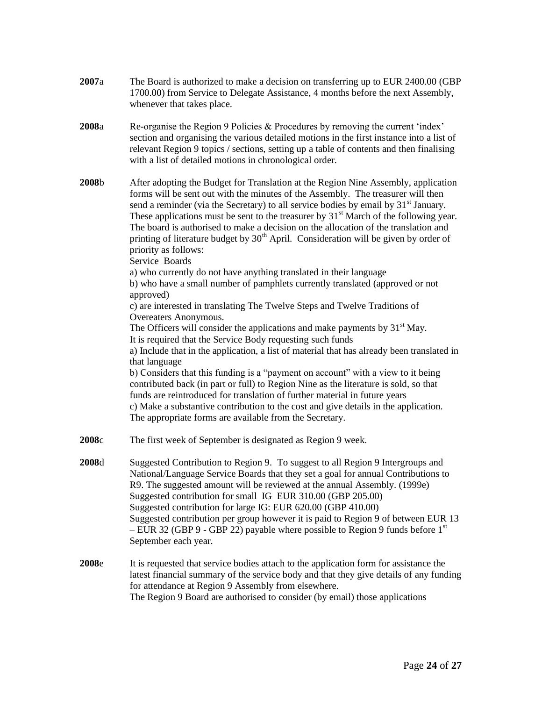**2007**a The Board is authorized to make a decision on transferring up to EUR 2400.00 (GBP 1700.00) from Service to Delegate Assistance, 4 months before the next Assembly, whenever that takes place. **2008**a Re-organise the Region 9 Policies & Procedures by removing the current "index" section and organising the various detailed motions in the first instance into a list of relevant Region 9 topics / sections, setting up a table of contents and then finalising with a list of detailed motions in chronological order. **2008**b After adopting the Budget for Translation at the Region Nine Assembly, application forms will be sent out with the minutes of the Assembly. The treasurer will then send a reminder (via the Secretary) to all service bodies by email by  $31<sup>st</sup>$  January. These applications must be sent to the treasurer by  $31<sup>st</sup>$  March of the following year. The board is authorised to make a decision on the allocation of the translation and printing of literature budget by  $30<sup>th</sup>$  April. Consideration will be given by order of priority as follows: Service Boards a) who currently do not have anything translated in their language b) who have a small number of pamphlets currently translated (approved or not approved) c) are interested in translating The Twelve Steps and Twelve Traditions of Overeaters Anonymous. The Officers will consider the applications and make payments by  $31<sup>st</sup>$  May. It is required that the Service Body requesting such funds a) Include that in the application, a list of material that has already been translated in that language b) Considers that this funding is a "payment on account" with a view to it being contributed back (in part or full) to Region Nine as the literature is sold, so that funds are reintroduced for translation of further material in future years c) Make a substantive contribution to the cost and give details in the application. The appropriate forms are available from the Secretary. **2008**c The first week of September is designated as Region 9 week. **2008**d Suggested Contribution to Region 9. To suggest to all Region 9 Intergroups and National/Language Service Boards that they set a goal for annual Contributions to R9. The suggested amount will be reviewed at the annual Assembly. (1999e) Suggested contribution for small IG EUR 310.00 (GBP 205.00) Suggested contribution for large IG: EUR 620.00 (GBP 410.00) Suggested contribution per group however it is paid to Region 9 of between EUR 13 – EUR 32 (GBP 9 - GBP 22) payable where possible to Region 9 funds before  $1<sup>st</sup>$ September each year. **2008**e It is requested that service bodies attach to the application form for assistance the latest financial summary of the service body and that they give details of any funding for attendance at Region 9 Assembly from elsewhere. The Region 9 Board are authorised to consider (by email) those applications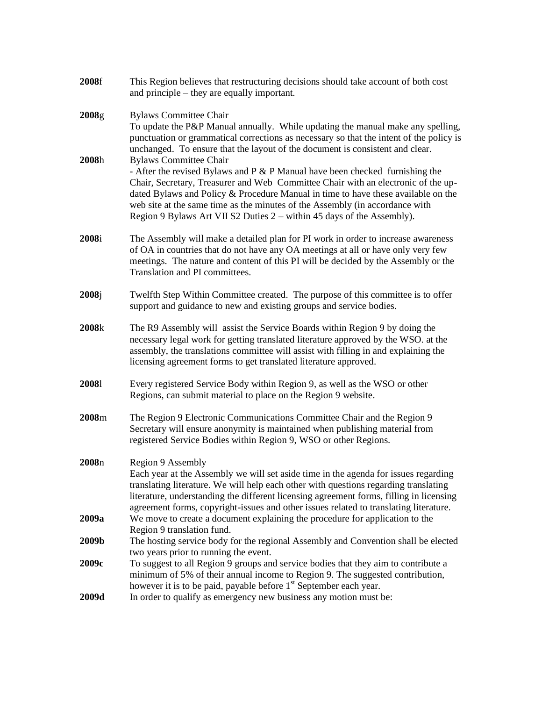| 2008f | This Region believes that restructuring decisions should take account of both cost<br>and principle – they are equally important.                                                                                                                                                                                                                                                                                                                   |
|-------|-----------------------------------------------------------------------------------------------------------------------------------------------------------------------------------------------------------------------------------------------------------------------------------------------------------------------------------------------------------------------------------------------------------------------------------------------------|
| 2008g | <b>Bylaws Committee Chair</b><br>To update the P&P Manual annually. While updating the manual make any spelling,<br>punctuation or grammatical corrections as necessary so that the intent of the policy is<br>unchanged. To ensure that the layout of the document is consistent and clear.                                                                                                                                                        |
| 2008h | <b>Bylaws Committee Chair</b><br>- After the revised Bylaws and P $&$ P Manual have been checked furnishing the<br>Chair, Secretary, Treasurer and Web Committee Chair with an electronic of the up-<br>dated Bylaws and Policy & Procedure Manual in time to have these available on the<br>web site at the same time as the minutes of the Assembly (in accordance with<br>Region 9 Bylaws Art VII S2 Duties 2 – within 45 days of the Assembly). |
| 2008i | The Assembly will make a detailed plan for PI work in order to increase awareness<br>of OA in countries that do not have any OA meetings at all or have only very few<br>meetings. The nature and content of this PI will be decided by the Assembly or the<br>Translation and PI committees.                                                                                                                                                       |
| 2008j | Twelfth Step Within Committee created. The purpose of this committee is to offer<br>support and guidance to new and existing groups and service bodies.                                                                                                                                                                                                                                                                                             |
| 2008k | The R9 Assembly will assist the Service Boards within Region 9 by doing the<br>necessary legal work for getting translated literature approved by the WSO. at the<br>assembly, the translations committee will assist with filling in and explaining the<br>licensing agreement forms to get translated literature approved.                                                                                                                        |
| 20081 | Every registered Service Body within Region 9, as well as the WSO or other<br>Regions, can submit material to place on the Region 9 website.                                                                                                                                                                                                                                                                                                        |
| 2008m | The Region 9 Electronic Communications Committee Chair and the Region 9<br>Secretary will ensure anonymity is maintained when publishing material from<br>registered Service Bodies within Region 9, WSO or other Regions.                                                                                                                                                                                                                          |
| 2008n | Region 9 Assembly<br>Each year at the Assembly we will set aside time in the agenda for issues regarding<br>translating literature. We will help each other with questions regarding translating<br>literature, understanding the different licensing agreement forms, filling in licensing<br>agreement forms, copyright-issues and other issues related to translating literature.                                                                |
| 2009a | We move to create a document explaining the procedure for application to the<br>Region 9 translation fund.                                                                                                                                                                                                                                                                                                                                          |
| 2009b | The hosting service body for the regional Assembly and Convention shall be elected<br>two years prior to running the event.                                                                                                                                                                                                                                                                                                                         |
| 2009c | To suggest to all Region 9 groups and service bodies that they aim to contribute a<br>minimum of 5% of their annual income to Region 9. The suggested contribution,<br>however it is to be paid, payable before 1 <sup>st</sup> September each year.                                                                                                                                                                                                |
| 2009d | In order to qualify as emergency new business any motion must be:                                                                                                                                                                                                                                                                                                                                                                                   |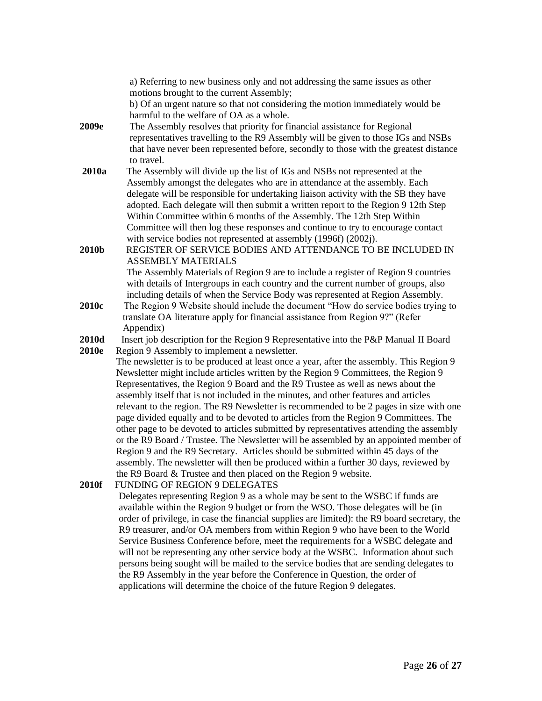a) Referring to new business only and not addressing the same issues as other motions brought to the current Assembly; b) Of an urgent nature so that not considering the motion immediately would be harmful to the welfare of OA as a whole. **2009e** The Assembly resolves that priority for financial assistance for Regional representatives travelling to the R9 Assembly will be given to those IGs and NSBs that have never been represented before, secondly to those with the greatest distance to travel. **2010a** The Assembly will divide up the list of IGs and NSBs not represented at the Assembly amongst the delegates who are in attendance at the assembly. Each delegate will be responsible for undertaking liaison activity with the SB they have adopted. Each delegate will then submit a written report to the Region 9 12th Step Within Committee within 6 months of the Assembly. The 12th Step Within Committee will then log these responses and continue to try to encourage contact with service bodies not represented at assembly (1996f) (2002j). **2010b** REGISTER OF SERVICE BODIES AND ATTENDANCE TO BE INCLUDED IN ASSEMBLY MATERIALS The Assembly Materials of Region 9 are to include a register of Region 9 countries with details of Intergroups in each country and the current number of groups, also including details of when the Service Body was represented at Region Assembly. **2010c** The Region 9 Website should include the document "How do service bodies trying to translate OA literature apply for financial assistance from Region 9?" (Refer Appendix) **2010d** Insert job description for the Region 9 Representative into the P&P Manual II Board **2010e** Region 9 Assembly to implement a newsletter. The newsletter is to be produced at least once a year, after the assembly. This Region 9 Newsletter might include articles written by the Region 9 Committees, the Region 9 Representatives, the Region 9 Board and the R9 Trustee as well as news about the assembly itself that is not included in the minutes, and other features and articles relevant to the region. The R9 Newsletter is recommended to be 2 pages in size with one page divided equally and to be devoted to articles from the Region 9 Committees. The other page to be devoted to articles submitted by representatives attending the assembly or the R9 Board / Trustee. The Newsletter will be assembled by an appointed member of Region 9 and the R9 Secretary. Articles should be submitted within 45 days of the assembly. The newsletter will then be produced within a further 30 days, reviewed by the R9 Board & Trustee and then placed on the Region 9 website. **2010f** FUNDING OF REGION 9 DELEGATES Delegates representing Region 9 as a whole may be sent to the WSBC if funds are available within the Region 9 budget or from the WSO. Those delegates will be (in order of privilege, in case the financial supplies are limited): the R9 board secretary, the R9 treasurer, and/or OA members from within Region 9 who have been to the World Service Business Conference before, meet the requirements for a WSBC delegate and will not be representing any other service body at the WSBC. Information about such persons being sought will be mailed to the service bodies that are sending delegates to the R9 Assembly in the year before the Conference in Question, the order of applications will determine the choice of the future Region 9 delegates.